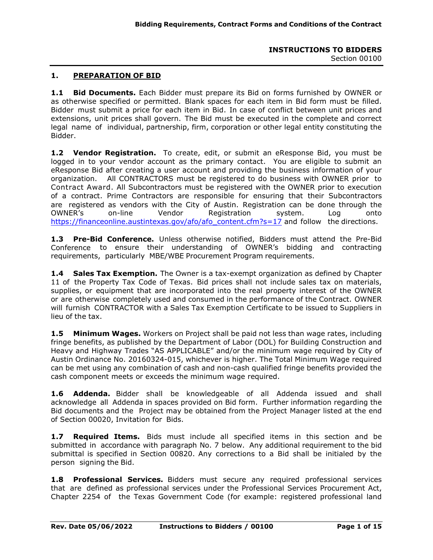# **1. PREPARATION OF BID**

**1.1 Bid Documents.** Each Bidder must prepare its Bid on forms furnished by OWNER or as otherwise specified or permitted. Blank spaces for each item in Bid form must be filled. Bidder must submit a price for each item in Bid. In case of conflict between unit prices and extensions, unit prices shall govern. The Bid must be executed in the complete and correct legal name of individual, partnership, firm, corporation or other legal entity constituting the Bidder.

**1.2 Vendor Registration.** To create, edit, or submit an eResponse Bid, you must be logged in to your vendor account as the primary contact. You are eligible to submit an eResponse Bid after creating a user account and providing the business information of your organization. All CONTRACTORS must be registered to do business with OWNER prior to Contract Award. All Subcontractors must be registered with the OWNER prior to execution of a contract. Prime Contractors are responsible for ensuring that their Subcontractors are registered as vendors with the City of Austin. Registration can be done through the OWNER's on-line Vendor Registration system. Log onto [https://financeonline.austintexas.gov/afo/afo\\_content.cfm?s=17](https://financeonline.austintexas.gov/afo/afo_content.cfm?s=17) and follow the directions.

**1.3 Pre-Bid Conference.** Unless otherwise notified, Bidders must attend the Pre-Bid Conference to ensure their understanding of OWNER's bidding and contracting requirements, particularly MBE/WBE Procurement Program requirements.

**1.4 Sales Tax Exemption.** The Owner is a tax-exempt organization as defined by Chapter 11 of the Property Tax Code of Texas. Bid prices shall not include sales tax on materials, supplies, or equipment that are incorporated into the real property interest of the OWNER or are otherwise completely used and consumed in the performance of the Contract. OWNER will furnish CONTRACTOR with a Sales Tax Exemption Certificate to be issued to Suppliers in lieu of the tax.

**1.5 Minimum Wages.** Workers on Project shall be paid not less than wage rates, including fringe benefits, as published by the Department of Labor (DOL) for Building Construction and Heavy and Highway Trades "AS APPLICABLE" and/or the minimum wage required by City of Austin Ordinance No. 20160324-015, whichever is higher. The Total Minimum Wage required can be met using any combination of cash and non-cash qualified fringe benefits provided the cash component meets or exceeds the minimum wage required.

**1.6 Addenda.** Bidder shall be knowledgeable of all Addenda issued and shall acknowledge all Addenda in spaces provided on Bid form. Further information regarding the Bid documents and the Project may be obtained from the Project Manager listed at the end of Section 00020, Invitation for Bids.

**1.7 Required Items.** Bids must include all specified items in this section and be submitted in accordance with paragraph No. 7 below. Any additional requirement to the bid submittal is specified in Section 00820. Any corrections to a Bid shall be initialed by the person signing the Bid.

**1.8 Professional Services.** Bidders must secure any required professional services that are defined as professional services under the Professional Services Procurement Act, Chapter 2254 of the Texas Government Code (for example: registered professional land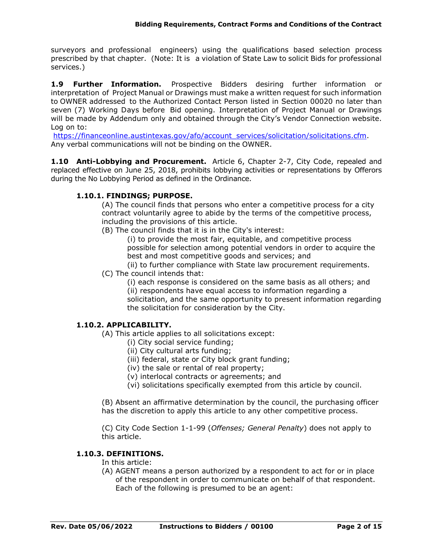surveyors and professional engineers) using the qualifications based selection process prescribed by that chapter. (Note: It is a violation of State Law to solicit Bids for professional services.)

**1.9 Further Information.** Prospective Bidders desiring further information or interpretation of Project Manual or Drawings must make a written request for such information to OWNER addressed to the Authorized Contact Person listed in Section 00020 no later than seven (7) Working Days before Bid opening. Interpretation of Project Manual or Drawings will be made by Addendum only and obtained through the City's Vendor Connection website. Log on to:

https://financeonline.austintexas.gov/afo/account\_services/solicitation/solicitations.cfm. Any verbal communications will not be binding on the OWNER.

**1.10 Anti-Lobbying and Procurement.** Article 6, Chapter 2-7, City Code, repealed and replaced effective on June 25, 2018, prohibits lobbying activities or representations by Offerors during the No Lobbying Period as defined in the Ordinance.

# **1.10.1. FINDINGS; PURPOSE.**

(A) The council finds that persons who enter a competitive process for a city contract voluntarily agree to abide by the terms of the competitive process, including the provisions of this article.

(B) The council finds that it is in the City's interest:

(i) to provide the most fair, equitable, and competitive process possible for selection among potential vendors in order to acquire the best and most competitive goods and services; and

(ii) to further compliance with State law procurement requirements. (C) The council intends that:

(i) each response is considered on the same basis as all others; and (ii) respondents have equal access to information regarding a solicitation, and the same opportunity to present information regarding the solicitation for consideration by the City.

# **1.10.2. APPLICABILITY.**

- (A) This article applies to all solicitations except:
	- (i) City social service funding;
	- (ii) City cultural arts funding;
	- (iii) federal, state or City block grant funding;
	- (iv) the sale or rental of real property;
	- (v) interlocal contracts or agreements; and
	- (vi) solicitations specifically exempted from this article by council.

(B) Absent an affirmative determination by the council, the purchasing officer has the discretion to apply this article to any other competitive process.

(C) City Code Section 1-1-99 (*Offenses; General Penalty*) does not apply to this article.

#### **1.10.3. DEFINITIONS.**

In this article:

(A) AGENT means a person authorized by a respondent to act for or in place of the respondent in order to communicate on behalf of that respondent. Each of the following is presumed to be an agent: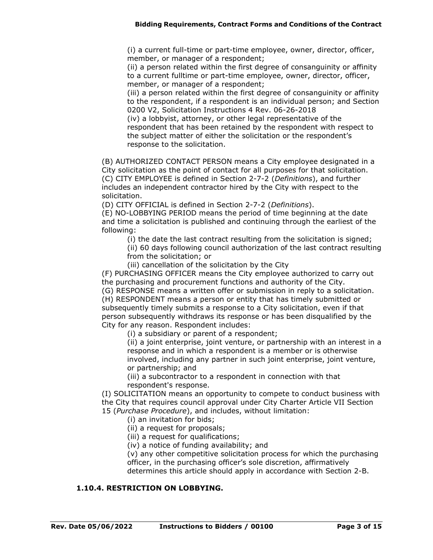(i) a current full-time or part-time employee, owner, director, officer, member, or manager of a respondent;

(ii) a person related within the first degree of consanguinity or affinity to a current fulltime or part-time employee, owner, director, officer, member, or manager of a respondent;

(iii) a person related within the first degree of consanguinity or affinity to the respondent, if a respondent is an individual person; and Section 0200 V2, Solicitation Instructions 4 Rev. 06-26-2018

(iv) a lobbyist, attorney, or other legal representative of the respondent that has been retained by the respondent with respect to the subject matter of either the solicitation or the respondent's response to the solicitation.

(B) AUTHORIZED CONTACT PERSON means a City employee designated in a City solicitation as the point of contact for all purposes for that solicitation. (C) CITY EMPLOYEE is defined in Section 2-7-2 (*Definitions*), and further includes an independent contractor hired by the City with respect to the solicitation.

(D) CITY OFFICIAL is defined in Section 2-7-2 (*Definitions*).

(E) NO-LOBBYING PERIOD means the period of time beginning at the date and time a solicitation is published and continuing through the earliest of the following:

(i) the date the last contract resulting from the solicitation is signed;

(ii) 60 days following council authorization of the last contract resulting from the solicitation; or

(iii) cancellation of the solicitation by the City

(F) PURCHASING OFFICER means the City employee authorized to carry out the purchasing and procurement functions and authority of the City.

(G) RESPONSE means a written offer or submission in reply to a solicitation.

(H) RESPONDENT means a person or entity that has timely submitted or subsequently timely submits a response to a City solicitation, even if that person subsequently withdraws its response or has been disqualified by the City for any reason. Respondent includes:

(i) a subsidiary or parent of a respondent;

(ii) a joint enterprise, joint venture, or partnership with an interest in a response and in which a respondent is a member or is otherwise involved, including any partner in such joint enterprise, joint venture, or partnership; and

(iii) a subcontractor to a respondent in connection with that respondent's response.

(I) SOLICITATION means an opportunity to compete to conduct business with the City that requires council approval under City Charter Article VII Section 15 (*Purchase Procedure*), and includes, without limitation:

(i) an invitation for bids;

(ii) a request for proposals;

(iii) a request for qualifications;

(iv) a notice of funding availability; and

(v) any other competitive solicitation process for which the purchasing officer, in the purchasing officer's sole discretion, affirmatively determines this article should apply in accordance with Section 2-B.

# **1.10.4. RESTRICTION ON LOBBYING.**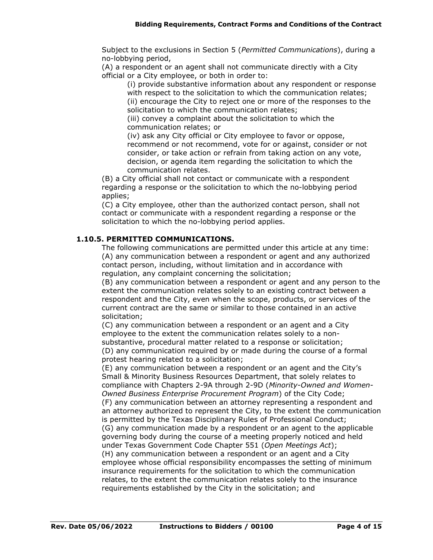Subject to the exclusions in Section 5 (*Permitted Communications*), during a no-lobbying period,

(A) a respondent or an agent shall not communicate directly with a City official or a City employee, or both in order to:

(i) provide substantive information about any respondent or response with respect to the solicitation to which the communication relates; (ii) encourage the City to reject one or more of the responses to the solicitation to which the communication relates;

(iii) convey a complaint about the solicitation to which the communication relates; or

(iv) ask any City official or City employee to favor or oppose, recommend or not recommend, vote for or against, consider or not consider, or take action or refrain from taking action on any vote, decision, or agenda item regarding the solicitation to which the communication relates.

(B) a City official shall not contact or communicate with a respondent regarding a response or the solicitation to which the no-lobbying period applies;

(C) a City employee, other than the authorized contact person, shall not contact or communicate with a respondent regarding a response or the solicitation to which the no-lobbying period applies.

# **1.10.5. PERMITTED COMMUNICATIONS.**

The following communications are permitted under this article at any time: (A) any communication between a respondent or agent and any authorized contact person, including, without limitation and in accordance with regulation, any complaint concerning the solicitation;

(B) any communication between a respondent or agent and any person to the extent the communication relates solely to an existing contract between a respondent and the City, even when the scope, products, or services of the current contract are the same or similar to those contained in an active solicitation;

(C) any communication between a respondent or an agent and a City employee to the extent the communication relates solely to a nonsubstantive, procedural matter related to a response or solicitation; (D) any communication required by or made during the course of a formal protest hearing related to a solicitation;

(E) any communication between a respondent or an agent and the City's Small & Minority Business Resources Department, that solely relates to compliance with Chapters 2-9A through 2-9D (*Minority-Owned and Women-Owned Business Enterprise Procurement Program*) of the City Code;

(F) any communication between an attorney representing a respondent and an attorney authorized to represent the City, to the extent the communication is permitted by the Texas Disciplinary Rules of Professional Conduct; (G) any communication made by a respondent or an agent to the applicable governing body during the course of a meeting properly noticed and held under Texas Government Code Chapter 551 (*Open Meetings Act*); (H) any communication between a respondent or an agent and a City employee whose official responsibility encompasses the setting of minimum insurance requirements for the solicitation to which the communication relates, to the extent the communication relates solely to the insurance requirements established by the City in the solicitation; and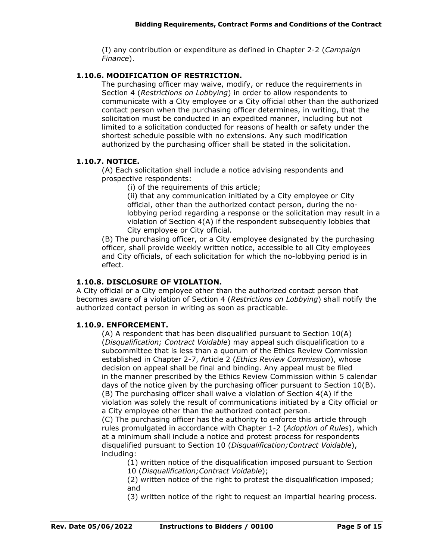(I) any contribution or expenditure as defined in Chapter 2-2 (*Campaign Finance*).

## **1.10.6. MODIFICATION OF RESTRICTION.**

The purchasing officer may waive, modify, or reduce the requirements in Section 4 (*Restrictions on Lobbying*) in order to allow respondents to communicate with a City employee or a City official other than the authorized contact person when the purchasing officer determines, in writing, that the solicitation must be conducted in an expedited manner, including but not limited to a solicitation conducted for reasons of health or safety under the shortest schedule possible with no extensions. Any such modification authorized by the purchasing officer shall be stated in the solicitation.

### **1.10.7. NOTICE.**

(A) Each solicitation shall include a notice advising respondents and prospective respondents:

(i) of the requirements of this article;

(ii) that any communication initiated by a City employee or City official, other than the authorized contact person, during the nolobbying period regarding a response or the solicitation may result in a violation of Section 4(A) if the respondent subsequently lobbies that City employee or City official.

(B) The purchasing officer, or a City employee designated by the purchasing officer, shall provide weekly written notice, accessible to all City employees and City officials, of each solicitation for which the no-lobbying period is in effect.

### **1.10.8. DISCLOSURE OF VIOLATION.**

A City official or a City employee other than the authorized contact person that becomes aware of a violation of Section 4 (*Restrictions on Lobbying*) shall notify the authorized contact person in writing as soon as practicable.

# **1.10.9. ENFORCEMENT.**

(A) A respondent that has been disqualified pursuant to Section 10(A) (*Disqualification; Contract Voidable*) may appeal such disqualification to a subcommittee that is less than a quorum of the Ethics Review Commission established in Chapter 2-7, Article 2 (*Ethics Review Commission*), whose decision on appeal shall be final and binding. Any appeal must be filed in the manner prescribed by the Ethics Review Commission within 5 calendar days of the notice given by the purchasing officer pursuant to Section 10(B). (B) The purchasing officer shall waive a violation of Section 4(A) if the violation was solely the result of communications initiated by a City official or a City employee other than the authorized contact person.

(C) The purchasing officer has the authority to enforce this article through rules promulgated in accordance with Chapter 1-2 (*Adoption of Rules*), which at a minimum shall include a notice and protest process for respondents disqualified pursuant to Section 10 (*Disqualification;Contract Voidable*), including:

(1) written notice of the disqualification imposed pursuant to Section 10 (*Disqualification;Contract Voidable*);

(2) written notice of the right to protest the disqualification imposed; and

(3) written notice of the right to request an impartial hearing process.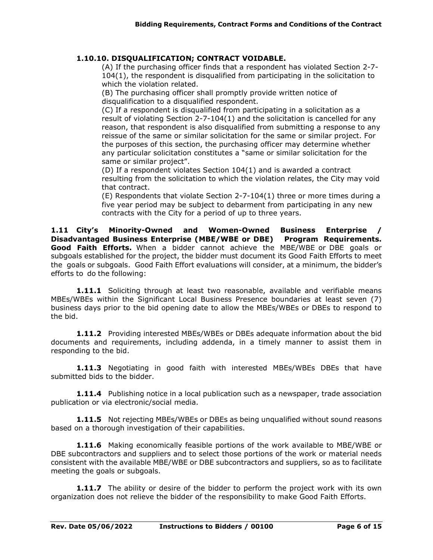# **1.10.10. DISQUALIFICATION; CONTRACT VOIDABLE.**

(A) If the purchasing officer finds that a respondent has violated Section 2-7- 104(1), the respondent is disqualified from participating in the solicitation to which the violation related.

(B) The purchasing officer shall promptly provide written notice of disqualification to a disqualified respondent.

(C) If a respondent is disqualified from participating in a solicitation as a result of violating Section 2-7-104(1) and the solicitation is cancelled for any reason, that respondent is also disqualified from submitting a response to any reissue of the same or similar solicitation for the same or similar project. For the purposes of this section, the purchasing officer may determine whether any particular solicitation constitutes a "same or similar solicitation for the same or similar project".

(D) If a respondent violates Section 104(1) and is awarded a contract resulting from the solicitation to which the violation relates, the City may void that contract.

(E) Respondents that violate Section 2-7-104(1) three or more times during a five year period may be subject to debarment from participating in any new contracts with the City for a period of up to three years.

**1.11 City's Minority-Owned and Women-Owned Business Enterprise / Disadvantaged Business Enterprise (MBE/WBE or DBE) Program Requirements. Good Faith Efforts.** When a bidder cannot achieve the MBE/WBE or DBE goals or subgoals established for the project, the bidder must document its Good Faith Efforts to meet the goals or subgoals. Good Faith Effort evaluations will consider, at a minimum, the bidder's efforts to do the following:

**1.11.1** Soliciting through at least two reasonable, available and verifiable means MBEs/WBEs within the Significant Local Business Presence boundaries at least seven (7) business days prior to the bid opening date to allow the MBEs/WBEs or DBEs to respond to the bid.

**1.11.2** Providing interested MBEs/WBEs or DBEs adequate information about the bid documents and requirements, including addenda, in a timely manner to assist them in responding to the bid.

**1.11.3** Negotiating in good faith with interested MBEs/WBEs DBEs that have submitted bids to the bidder.

**1.11.4** Publishing notice in a local publication such as a newspaper, trade association publication or via electronic/social media.

**1.11.5** Not rejecting MBEs/WBEs or DBEs as being unqualified without sound reasons based on a thorough investigation of their capabilities.

**1.11.6** Making economically feasible portions of the work available to MBE/WBE or DBE subcontractors and suppliers and to select those portions of the work or material needs consistent with the available MBE/WBE or DBE subcontractors and suppliers, so as to facilitate meeting the goals or subgoals.

**1.11.7** The ability or desire of the bidder to perform the project work with its own organization does not relieve the bidder of the responsibility to make Good Faith Efforts.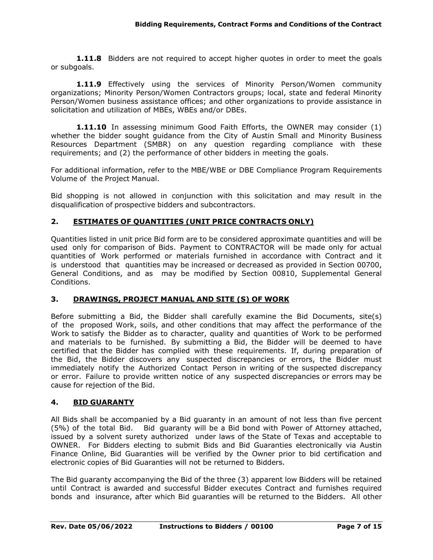**1.11.8** Bidders are not required to accept higher quotes in order to meet the goals or subgoals.

**1.11.9** Effectively using the services of Minority Person/Women community organizations; Minority Person/Women Contractors groups; local, state and federal Minority Person/Women business assistance offices; and other organizations to provide assistance in solicitation and utilization of MBEs, WBEs and/or DBEs.

**1.11.10** In assessing minimum Good Faith Efforts, the OWNER may consider (1) whether the bidder sought guidance from the City of Austin Small and Minority Business Resources Department (SMBR) on any question regarding compliance with these requirements; and (2) the performance of other bidders in meeting the goals.

For additional information, refer to the MBE/WBE or DBE Compliance Program Requirements Volume of the Project Manual.

Bid shopping is not allowed in conjunction with this solicitation and may result in the disqualification of prospective bidders and subcontractors.

### **2. ESTIMATES OF QUANTITIES (UNIT PRICE CONTRACTS ONLY)**

Quantities listed in unit price Bid form are to be considered approximate quantities and will be used only for comparison of Bids. Payment to CONTRACTOR will be made only for actual quantities of Work performed or materials furnished in accordance with Contract and it is understood that quantities may be increased or decreased as provided in Section 00700, General Conditions, and as may be modified by Section 00810, Supplemental General Conditions.

#### **3. DRAWINGS, PROJECT MANUAL AND SITE (S) OF WORK**

Before submitting a Bid, the Bidder shall carefully examine the Bid Documents, site(s) of the proposed Work, soils, and other conditions that may affect the performance of the Work to satisfy the Bidder as to character, quality and quantities of Work to be performed and materials to be furnished. By submitting a Bid, the Bidder will be deemed to have certified that the Bidder has complied with these requirements. If, during preparation of the Bid, the Bidder discovers any suspected discrepancies or errors, the Bidder must immediately notify the Authorized Contact Person in writing of the suspected discrepancy or error. Failure to provide written notice of any suspected discrepancies or errors may be cause for rejection of the Bid.

#### **4. BID GUARANTY**

All Bids shall be accompanied by a Bid guaranty in an amount of not less than five percent (5%) of the total Bid. Bid guaranty will be a Bid bond with Power of Attorney attached, issued by a solvent surety authorized under laws of the State of Texas and acceptable to OWNER. For Bidders electing to submit Bids and Bid Guaranties electronically via Austin Finance Online, Bid Guaranties will be verified by the Owner prior to bid certification and electronic copies of Bid Guaranties will not be returned to Bidders.

The Bid guaranty accompanying the Bid of the three (3) apparent low Bidders will be retained until Contract is awarded and successful Bidder executes Contract and furnishes required bonds and insurance, after which Bid guaranties will be returned to the Bidders. All other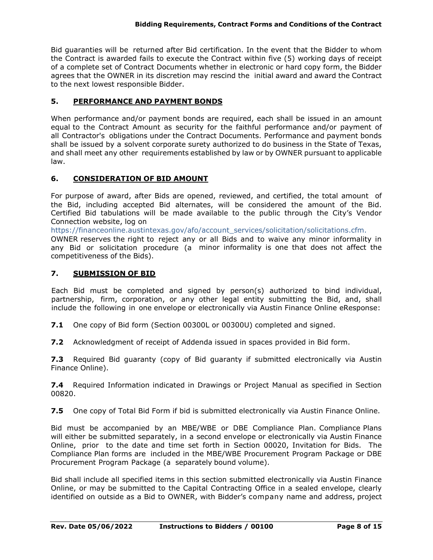Bid guaranties will be returned after Bid certification. In the event that the Bidder to whom the Contract is awarded fails to execute the Contract within five (5) working days of receipt of a complete set of Contract Documents whether in electronic or hard copy form, the Bidder agrees that the OWNER in its discretion may rescind the initial award and award the Contract to the next lowest responsible Bidder.

## **5. PERFORMANCE AND PAYMENT BONDS**

When performance and/or payment bonds are required, each shall be issued in an amount equal to the Contract Amount as security for the faithful performance and/or payment of all Contractor's obligations under the Contract Documents. Performance and payment bonds shall be issued by a solvent corporate surety authorized to do business in the State of Texas, and shall meet any other requirements established by law or by OWNER pursuant to applicable law.

### **6. CONSIDERATION OF BID AMOUNT**

For purpose of award, after Bids are opened, reviewed, and certified, the total amount of the Bid, including accepted Bid alternates, will be considered the amount of the Bid. Certified Bid tabulations will be made available to the public through the City's Vendor Connection website, log on

https://financeonline.austintexas.gov/afo/account\_services/solicitation/solicitations.cfm.

OWNER reserves the right to reject any or all Bids and to waive any minor informality in any Bid or solicitation procedure (a minor informality is one that does not affect the competitiveness of the Bids).

#### **7. SUBMISSION OF BID**

Each Bid must be completed and signed by person(s) authorized to bind individual, partnership, firm, corporation, or any other legal entity submitting the Bid, and, shall include the following in one envelope or electronically via Austin Finance Online eResponse:

**7.1** One copy of Bid form (Section 00300L or 00300U) completed and signed.

**7.2** Acknowledgment of receipt of Addenda issued in spaces provided in Bid form.

**7.3** Required Bid guaranty (copy of Bid guaranty if submitted electronically via Austin Finance Online).

**7.4** Required Information indicated in Drawings or Project Manual as specified in Section 00820.

**7.5** One copy of Total Bid Form if bid is submitted electronically via Austin Finance Online.

Bid must be accompanied by an MBE/WBE or DBE Compliance Plan. Compliance Plans will either be submitted separately, in a second envelope or electronically via Austin Finance Online, prior to the date and time set forth in Section 00020, Invitation for Bids. The Compliance Plan forms are included in the MBE/WBE Procurement Program Package or DBE Procurement Program Package (a separately bound volume).

Bid shall include all specified items in this section submitted electronically via Austin Finance Online, or may be submitted to the Capital Contracting Office in a sealed envelope, clearly identified on outside as a Bid to OWNER, with Bidder's company name and address, project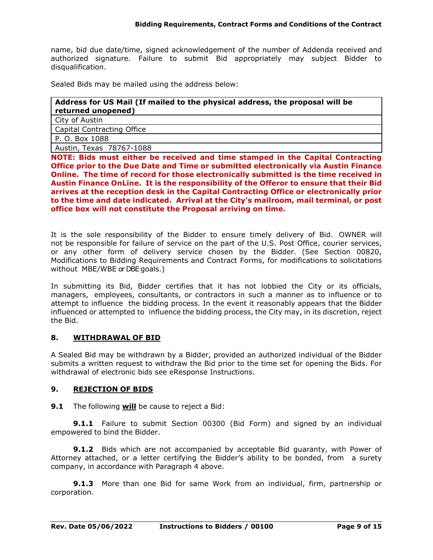name, bid due date/time, signed acknowledgement of the number of Addenda received and authorized signature. Failure to submit Bid appropriately may subject Bidder to disqualification.

Sealed Bids may be mailed using the address below:

### **Address for US Mail (If mailed to the physical address, the proposal will be returned unopened)**

City of Austin

Capital Contracting Office

P. O. Box 1088

Austin, Texas 78767-1088

**NOTE: Bids must either be received and time stamped in the Capital Contracting Office prior to the Due Date and Time or submitted electronically via Austin Finance Online. The time of record for those electronically submitted is the time received in Austin Finance OnLine. It is the responsibility of the Offeror to ensure that their Bid arrives at the reception desk in the Capital Contracting Office or electronically prior to the time and date indicated. Arrival at the City's mailroom, mail terminal, or post office box will not constitute the Proposal arriving on time.**

It is the sole responsibility of the Bidder to ensure timely delivery of Bid. OWNER will not be responsible for failure of service on the part of the U.S. Post Office, courier services, or any other form of delivery service chosen by the Bidder. (See Section 00820, Modifications to Bidding Requirements and Contract Forms, for modifications to solicitations without MBE/WBE or DBE goals.)

In submitting its Bid, Bidder certifies that it has not lobbied the City or its officials, managers, employees, consultants, or contractors in such a manner as to influence or to attempt to influence the bidding process. In the event it reasonably appears that the Bidder influenced or attempted to influence the bidding process, the City may, in its discretion, reject the Bid.

#### **8. WITHDRAWAL OF BID**

A Sealed Bid may be withdrawn by a Bidder, provided an authorized individual of the Bidder submits a written request to withdraw the Bid prior to the time set for opening the Bids. For withdrawal of electronic bids see eResponse Instructions.

#### **9. REJECTION OF BIDS**

**9.1** The following **will** be cause to reject a Bid:

**9.1.1** Failure to submit Section 00300 (Bid Form) and signed by an individual empowered to bind the Bidder.

**9.1.2** Bids which are not accompanied by acceptable Bid guaranty, with Power of Attorney attached, or a letter certifying the Bidder's ability to be bonded, from a surety company, in accordance with Paragraph 4 above.

**9.1.3** More than one Bid for same Work from an individual, firm, partnership or corporation.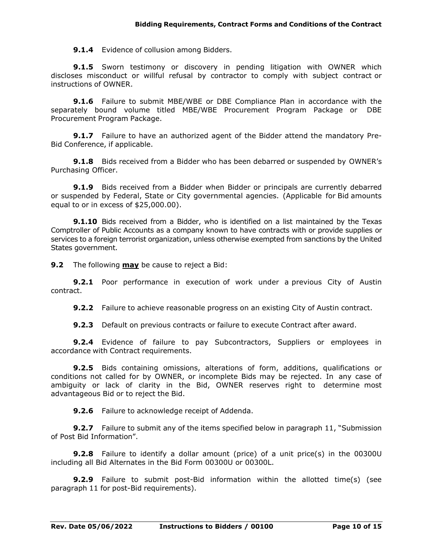**9.1.4** Evidence of collusion among Bidders.

**9.1.5** Sworn testimony or discovery in pending litigation with OWNER which discloses misconduct or willful refusal by contractor to comply with subject contract or instructions of OWNER.

**9.1.6** Failure to submit MBE/WBE or DBE Compliance Plan in accordance with the separately bound volume titled MBE/WBE Procurement Program Package or DBE Procurement Program Package.

**9.1.7** Failure to have an authorized agent of the Bidder attend the mandatory Pre-Bid Conference, if applicable.

**9.1.8** Bids received from a Bidder who has been debarred or suspended by OWNER's Purchasing Officer.

**9.1.9** Bids received from a Bidder when Bidder or principals are currently debarred or suspended by Federal, State or City governmental agencies. (Applicable for Bid amounts equal to or in excess of \$25,000.00).

**9.1.10** Bids received from a Bidder, who is identified on a list maintained by the Texas Comptroller of Public Accounts as a company known to have contracts with or provide supplies or services to a foreign terrorist organization, unless otherwise exempted from sanctions by the United States government.

**9.2** The following **may** be cause to reject a Bid:

**9.2.1** Poor performance in execution of work under a previous City of Austin contract.

**9.2.2** Failure to achieve reasonable progress on an existing City of Austin contract.

**9.2.3** Default on previous contracts or failure to execute Contract after award.

**9.2.4** Evidence of failure to pay Subcontractors, Suppliers or employees in accordance with Contract requirements.

**9.2.5** Bids containing omissions, alterations of form, additions, qualifications or conditions not called for by OWNER, or incomplete Bids may be rejected. In any case of ambiguity or lack of clarity in the Bid, OWNER reserves right to determine most advantageous Bid or to reject the Bid.

**9.2.6** Failure to acknowledge receipt of Addenda.

**9.2.7** Failure to submit any of the items specified below in paragraph 11, "Submission of Post Bid Information".

**9.2.8** Failure to identify a dollar amount (price) of a unit price(s) in the 00300U including all Bid Alternates in the Bid Form 00300U or 00300L.

**9.2.9** Failure to submit post-Bid information within the allotted time(s) (see paragraph 11 for post-Bid requirements).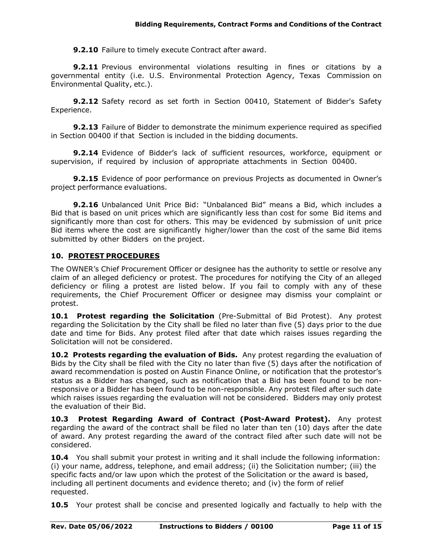**9.2.10** Failure to timely execute Contract after award.

**9.2.11** Previous environmental violations resulting in fines or citations by a governmental entity (i.e. U.S. Environmental Protection Agency, Texas Commission on Environmental Quality, etc.).

**9.2.12** Safety record as set forth in Section 00410, Statement of Bidder's Safety Experience.

**9.2.13** Failure of Bidder to demonstrate the minimum experience required as specified in Section 00400 if that Section is included in the bidding documents.

**9.2.14** Evidence of Bidder's lack of sufficient resources, workforce, equipment or supervision, if required by inclusion of appropriate attachments in Section 00400.

**9.2.15** Evidence of poor performance on previous Projects as documented in Owner's project performance evaluations.

**9.2.16** Unbalanced Unit Price Bid: "Unbalanced Bid" means a Bid, which includes a Bid that is based on unit prices which are significantly less than cost for some Bid items and significantly more than cost for others. This may be evidenced by submission of unit price Bid items where the cost are significantly higher/lower than the cost of the same Bid items submitted by other Bidders on the project.

### **10. PROTEST PROCEDURES**

The OWNER's Chief Procurement Officer or designee has the authority to settle or resolve any claim of an alleged deficiency or protest. The procedures for notifying the City of an alleged deficiency or filing a protest are listed below. If you fail to comply with any of these requirements, the Chief Procurement Officer or designee may dismiss your complaint or protest.

**10.1 Protest regarding the Solicitation** (Pre-Submittal of Bid Protest). Any protest regarding the Solicitation by the City shall be filed no later than five (5) days prior to the due date and time for Bids. Any protest filed after that date which raises issues regarding the Solicitation will not be considered.

**10.2 Protests regarding the evaluation of Bids.** Any protest regarding the evaluation of Bids by the City shall be filed with the City no later than five (5) days after the notification of award recommendation is posted on Austin Finance Online, or notification that the protestor's status as a Bidder has changed, such as notification that a Bid has been found to be nonresponsive or a Bidder has been found to be non-responsible. Any protest filed after such date which raises issues regarding the evaluation will not be considered. Bidders may only protest the evaluation of their Bid.

**10.3 Protest Regarding Award of Contract (Post-Award Protest).** Any protest regarding the award of the contract shall be filed no later than ten (10) days after the date of award. Any protest regarding the award of the contract filed after such date will not be considered.

**10.4** You shall submit your protest in writing and it shall include the following information: (i) your name, address, telephone, and email address; (ii) the Solicitation number; (iii) the specific facts and/or law upon which the protest of the Solicitation or the award is based, including all pertinent documents and evidence thereto; and (iv) the form of relief requested.

**10.5** Your protest shall be concise and presented logically and factually to help with the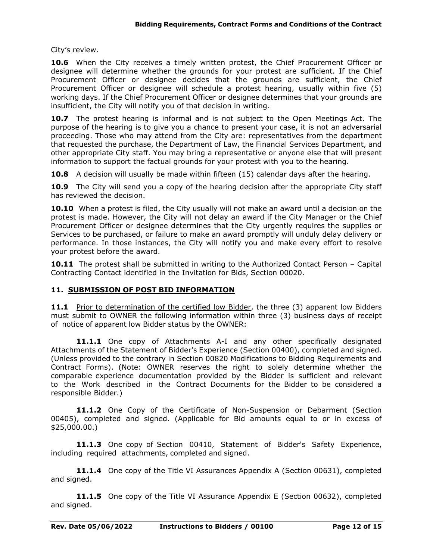City's review.

**10.6** When the City receives a timely written protest, the Chief Procurement Officer or designee will determine whether the grounds for your protest are sufficient. If the Chief Procurement Officer or designee decides that the grounds are sufficient, the Chief Procurement Officer or designee will schedule a protest hearing, usually within five (5) working days. If the Chief Procurement Officer or designee determines that your grounds are insufficient, the City will notify you of that decision in writing.

**10.7** The protest hearing is informal and is not subject to the Open Meetings Act. The purpose of the hearing is to give you a chance to present your case, it is not an adversarial proceeding. Those who may attend from the City are: representatives from the department that requested the purchase, the Department of Law, the Financial Services Department, and other appropriate City staff. You may bring a representative or anyone else that will present information to support the factual grounds for your protest with you to the hearing.

**10.8** A decision will usually be made within fifteen (15) calendar days after the hearing.

**10.9** The City will send you a copy of the hearing decision after the appropriate City staff has reviewed the decision.

**10.10** When a protest is filed, the City usually will not make an award until a decision on the protest is made. However, the City will not delay an award if the City Manager or the Chief Procurement Officer or designee determines that the City urgently requires the supplies or Services to be purchased, or failure to make an award promptly will unduly delay delivery or performance. In those instances, the City will notify you and make every effort to resolve your protest before the award.

**10.11** The protest shall be submitted in writing to the Authorized Contact Person – Capital Contracting Contact identified in the Invitation for Bids, Section 00020.

#### **11. SUBMISSION OF POST BID INFORMATION**

11.1 Prior to determination of the certified low Bidder, the three (3) apparent low Bidders must submit to OWNER the following information within three (3) business days of receipt of notice of apparent low Bidder status by the OWNER:

**11.1.1** One copy of Attachments A-I and any other specifically designated Attachments of the Statement of Bidder's Experience (Section 00400), completed and signed. (Unless provided to the contrary in Section 00820 Modifications to Bidding Requirements and Contract Forms). (Note: OWNER reserves the right to solely determine whether the comparable experience documentation provided by the Bidder is sufficient and relevant to the Work described in the Contract Documents for the Bidder to be considered a responsible Bidder.)

**11.1.2** One Copy of the Certificate of Non-Suspension or Debarment (Section 00405), completed and signed. (Applicable for Bid amounts equal to or in excess of \$25,000.00.)

**11.1.3** One copy of Section 00410, Statement of Bidder's Safety Experience, including required attachments, completed and signed.

**11.1.4** One copy of the Title VI Assurances Appendix A (Section 00631), completed and signed.

**11.1.5** One copy of the Title VI Assurance Appendix E (Section 00632), completed and signed.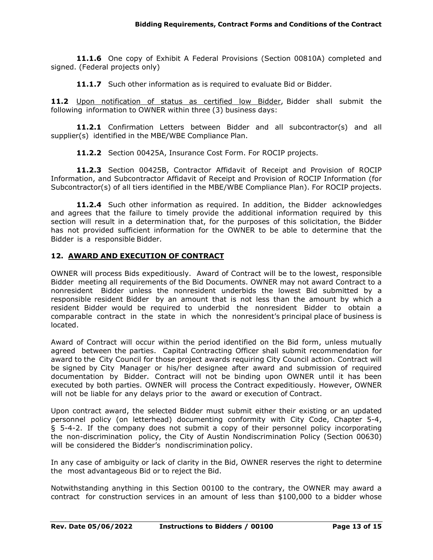**11.1.6** One copy of Exhibit A Federal Provisions (Section 00810A) completed and signed. (Federal projects only)

**11.1.7** Such other information as is required to evaluate Bid or Bidder.

**11.2** Upon notification of status as certified low Bidder, Bidder shall submit the following information to OWNER within three (3) business days:

**11.2.1** Confirmation Letters between Bidder and all subcontractor(s) and all supplier(s) identified in the MBE/WBE Compliance Plan.

**11.2.2** Section 00425A, Insurance Cost Form. For ROCIP projects.

**11.2.3** Section 00425B, Contractor Affidavit of Receipt and Provision of ROCIP Information, and Subcontractor Affidavit of Receipt and Provision of ROCIP Information (for Subcontractor(s) of all tiers identified in the MBE/WBE Compliance Plan). For ROCIP projects.

**11.2.4** Such other information as required. In addition, the Bidder acknowledges and agrees that the failure to timely provide the additional information required by this section will result in a determination that, for the purposes of this solicitation, the Bidder has not provided sufficient information for the OWNER to be able to determine that the Bidder is a responsible Bidder.

### **12. AWARD AND EXECUTION OF CONTRACT**

OWNER will process Bids expeditiously. Award of Contract will be to the lowest, responsible Bidder meeting all requirements of the Bid Documents. OWNER may not award Contract to a nonresident Bidder unless the nonresident underbids the lowest Bid submitted by a responsible resident Bidder by an amount that is not less than the amount by which a resident Bidder would be required to underbid the nonresident Bidder to obtain a comparable contract in the state in which the nonresident's principal place of business is located.

Award of Contract will occur within the period identified on the Bid form, unless mutually agreed between the parties. Capital Contracting Officer shall submit recommendation for award to the City Council for those project awards requiring City Council action. Contract will be signed by City Manager or his/her designee after award and submission of required documentation by Bidder. Contract will not be binding upon OWNER until it has been executed by both parties. OWNER will process the Contract expeditiously. However, OWNER will not be liable for any delays prior to the award or execution of Contract.

Upon contract award, the selected Bidder must submit either their existing or an updated personnel policy (on letterhead) documenting conformity with City Code, Chapter 5-4, § 5-4-2. If the company does not submit a copy of their personnel policy incorporating the non-discrimination policy, the City of Austin Nondiscrimination Policy (Section 00630) will be considered the Bidder's nondiscrimination policy.

In any case of ambiguity or lack of clarity in the Bid, OWNER reserves the right to determine the most advantageous Bid or to reject the Bid.

Notwithstanding anything in this Section 00100 to the contrary, the OWNER may award a contract for construction services in an amount of less than \$100,000 to a bidder whose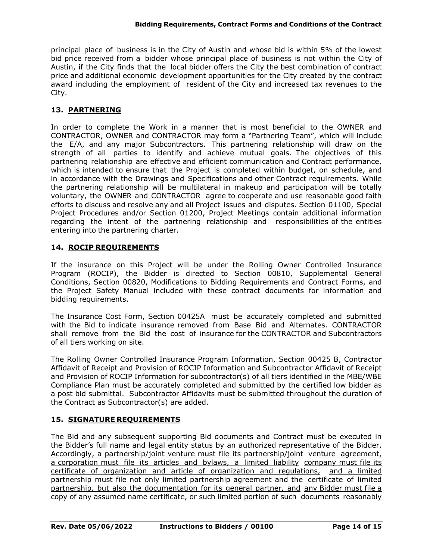principal place of business is in the City of Austin and whose bid is within 5% of the lowest bid price received from a bidder whose principal place of business is not within the City of Austin, if the City finds that the local bidder offers the City the best combination of contract price and additional economic development opportunities for the City created by the contract award including the employment of resident of the City and increased tax revenues to the City.

## **13. PARTNERING**

In order to complete the Work in a manner that is most beneficial to the OWNER and CONTRACTOR, OWNER and CONTRACTOR may form a "Partnering Team", which will include the E/A, and any major Subcontractors. This partnering relationship will draw on the strength of all parties to identify and achieve mutual goals. The objectives of this partnering relationship are effective and efficient communication and Contract performance, which is intended to ensure that the Project is completed within budget, on schedule, and in accordance with the Drawings and Specifications and other Contract requirements. While the partnering relationship will be multilateral in makeup and participation will be totally voluntary, the OWNER and CONTRACTOR agree to cooperate and use reasonable good faith efforts to discuss and resolve any and all Project issues and disputes. Section 01100, Special Project Procedures and/or Section 01200, Project Meetings contain additional information regarding the intent of the partnering relationship and responsibilities of the entities entering into the partnering charter.

### **14. ROCIP REQUIREMENTS**

If the insurance on this Project will be under the Rolling Owner Controlled Insurance Program (ROCIP), the Bidder is directed to Section 00810, Supplemental General Conditions, Section 00820, Modifications to Bidding Requirements and Contract Forms, and the Project Safety Manual included with these contract documents for information and bidding requirements.

The Insurance Cost Form, Section 00425A must be accurately completed and submitted with the Bid to indicate insurance removed from Base Bid and Alternates. CONTRACTOR shall remove from the Bid the cost of insurance for the CONTRACTOR and Subcontractors of all tiers working on site.

The Rolling Owner Controlled Insurance Program Information, Section 00425 B, Contractor Affidavit of Receipt and Provision of ROCIP Information and Subcontractor Affidavit of Receipt and Provision of ROCIP Information for subcontractor(s) of all tiers identified in the MBE/WBE Compliance Plan must be accurately completed and submitted by the certified low bidder as a post bid submittal. Subcontractor Affidavits must be submitted throughout the duration of the Contract as Subcontractor(s) are added.

# **15. SIGNATURE REQUIREMENTS**

The Bid and any subsequent supporting Bid documents and Contract must be executed in the Bidder's full name and legal entity status by an authorized representative of the Bidder. Accordingly, a partnership/joint venture must file its partnership/joint venture agreement, a corporation must file its articles and bylaws, a limited liability company must file its certificate of organization and article of organization and regulations, and a limited partnership must file not only limited partnership agreement and the certificate of limited partnership, but also the documentation for its general partner, and any Bidder must file a copy of any assumed name certificate, or such limited portion of such documents reasonably